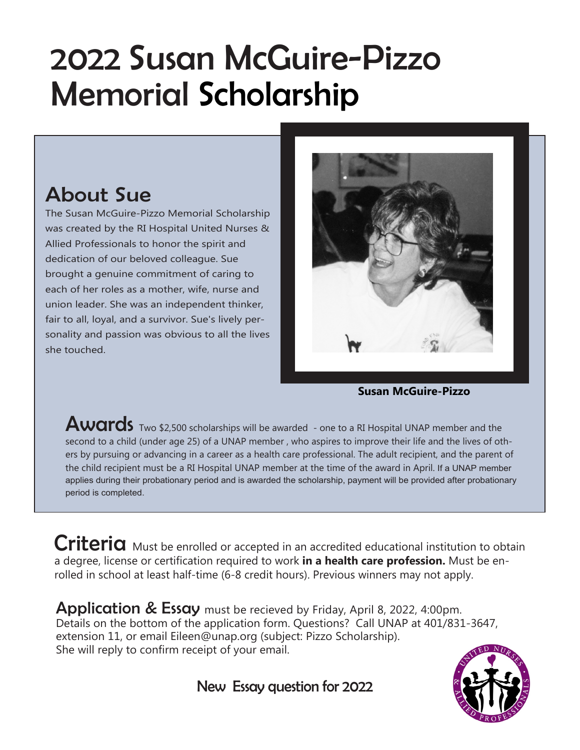## 2022 Susan McGuire-Pizzo Memorial Scholarship

## About Sue

The Susan McGuire-Pizzo Memorial Scholarship was created by the RI Hospital United Nurses & Allied Professionals to honor the spirit and dedication of our beloved colleague. Sue brought a genuine commitment of caring to each of her roles as a mother, wife, nurse and union leader. She was an independent thinker, fair to all, loyal, and a survivor. Sue's lively personality and passion was obvious to all the lives she touched.



**Susan McGuire-Pizzo**

Awards Two \$2,500 scholarships will be awarded - one to a RI Hospital UNAP member and the second to a child (under age 25) of a UNAP member , who aspires to improve their life and the lives of others by pursuing or advancing in a career as a health care professional. The adult recipient, and the parent of the child recipient must be a RI Hospital UNAP member at the time of the award in April. If a UNAP member applies during their probationary period and is awarded the scholarship, payment will be provided after probationary period is completed.

Criteria Must be enrolled or accepted in an accredited educational institution to obtain a degree, license or certification required to work **in a health care profession.** Must be enrolled in school at least half-time (6-8 credit hours). Previous winners may not apply.

**Application & Essay** must be recieved by Friday, April 8, 2022, 4:00pm. Details on the bottom of the application form. Questions? Call UNAP at 401/831-3647, extension 11, or email Eileen@unap.org (subject: Pizzo Scholarship). She will reply to confirm receipt of your email.

New Essay question for 2022